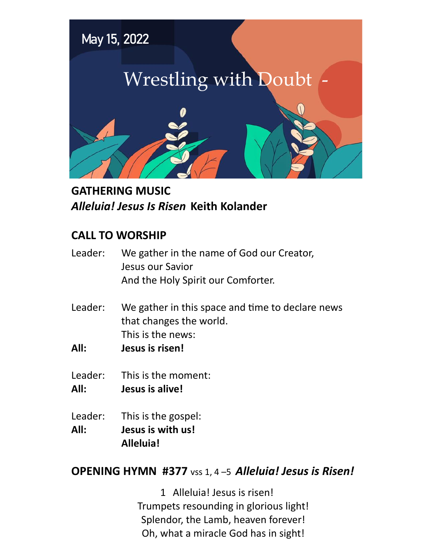

# **GATHERING MUSIC** *Alleluia! Jesus Is Risen* **Keith Kolander**

# **CALL TO WORSHIP**

- Leader: We gather in the name of God our Creator, Jesus our Savior And the Holy Spirit our Comforter.
- Leader: We gather in this space and time to declare news that changes the world. This is the news:
- **All: Jesus is risen!**
- Leader: This is the moment:
- **All: Jesus is alive!**
- Leader: This is the gospel: **All: Jesus is with us! Alleluia!**

## **OPENING HYMN #377** vss 1, 4 –5 *Alleluia! Jesus is Risen!*

1 Alleluia! Jesus is risen! Trumpets resounding in glorious light! Splendor, the Lamb, heaven forever! Oh, what a miracle God has in sight!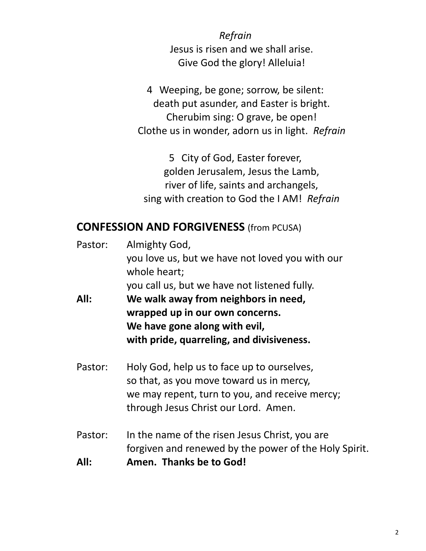*Refrain* Jesus is risen and we shall arise. Give God the glory! Alleluia!

4 Weeping, be gone; sorrow, be silent: death put asunder, and Easter is bright. Cherubim sing: O grave, be open! Clothe us in wonder, adorn us in light. *Refrain*

5 City of God, Easter forever, golden Jerusalem, Jesus the Lamb, river of life, saints and archangels, sing with creation to God the I AM! *Refrain*

#### **CONFESSION AND FORGIVENESS** (from PCUSA)

| Pastor: | Almighty God,<br>you love us, but we have not loved you with our<br>whole heart;<br>you call us, but we have not listened fully.                                                 |
|---------|----------------------------------------------------------------------------------------------------------------------------------------------------------------------------------|
| All:    | We walk away from neighbors in need,<br>wrapped up in our own concerns.<br>We have gone along with evil,<br>with pride, quarreling, and divisiveness.                            |
| Pastor: | Holy God, help us to face up to ourselves,<br>so that, as you move toward us in mercy,<br>we may repent, turn to you, and receive mercy;<br>through Jesus Christ our Lord. Amen. |
| Pastor: | In the name of the risen Jesus Christ, you are<br>forgiven and renewed by the power of the Holy Spirit.                                                                          |
| All:    | Amen. Thanks be to God!                                                                                                                                                          |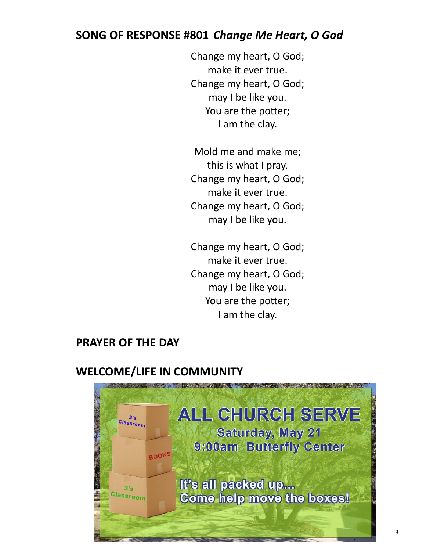## **SONG OF RESPONSE #801** *Change Me Heart, O God*

Change my heart, O God; make it ever true. Change my heart, O God; may I be like you. You are the potter; I am the clay.

Mold me and make me; this is what I pray. Change my heart, O God; make it ever true. Change my heart, O God; may I be like you.

Change my heart, O God; make it ever true. Change my heart, O God; may I be like you. You are the potter; I am the clay.

#### **PRAYER OF THE DAY**

#### **WELCOME/LIFE IN COMMUNITY**

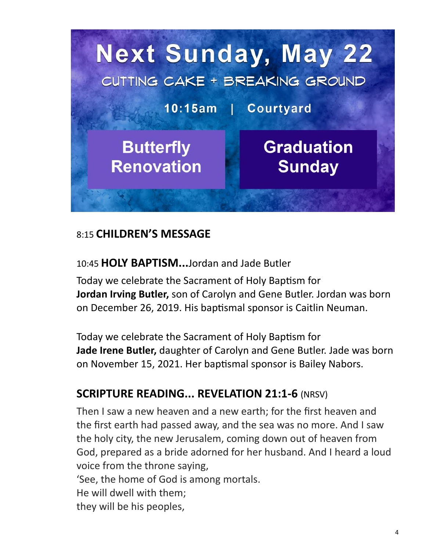

# 8:15 **CHILDREN'S MESSAGE**

10:45 **HOLY BAPTISM...**Jordan and Jade Butler

Today we celebrate the Sacrament of Holy Baptism for **Jordan Irving Butler,** son of Carolyn and Gene Butler. Jordan was born on December 26, 2019. His baptismal sponsor is Caitlin Neuman.

Today we celebrate the Sacrament of Holy Baptism for **Jade Irene Butler,** daughter of Carolyn and Gene Butler. Jade was born on November 15, 2021. Her baptismal sponsor is Bailey Nabors.

# **SCRIPTURE READING... REVELATION 21:1-6** (NRSV)

Then I saw a new heaven and a new earth; for the first heaven and the first earth had passed away, and the sea was no more. And I saw the holy city, the new Jerusalem, coming down out of heaven from God, prepared as a bride adorned for her husband. And I heard a loud voice from the throne saying,

'See, the home of God is among mortals.

He will dwell with them;

they will be his peoples,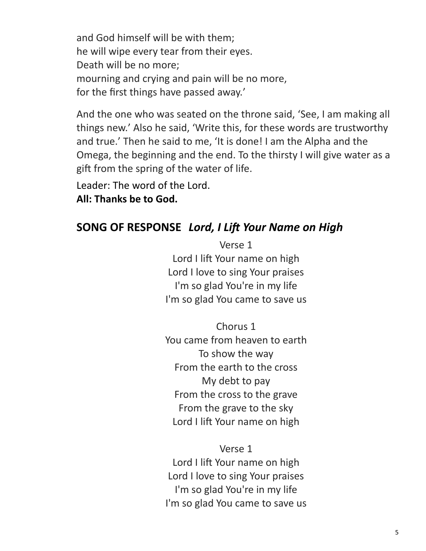and God himself will be with them; he will wipe every tear from their eyes. Death will be no more; mourning and crying and pain will be no more, for the first things have passed away.'

And the one who was seated on the throne said, 'See, I am making all things new.' Also he said, 'Write this, for these words are trustworthy and true.' Then he said to me, 'It is done! I am the Alpha and the Omega, the beginning and the end. To the thirsty I will give water as a gift from the spring of the water of life.

Leader: The word of the Lord.

**All: Thanks be to God.**

## **SONG OF RESPONSE** *Lord, I Lift Your Name on High*

Verse 1 Lord I lift Your name on high Lord I love to sing Your praises I'm so glad You're in my life I'm so glad You came to save us

Chorus 1 You came from heaven to earth To show the way From the earth to the cross My debt to pay From the cross to the grave From the grave to the sky Lord I lift Your name on high

Verse 1 Lord I lift Your name on high Lord I love to sing Your praises I'm so glad You're in my life I'm so glad You came to save us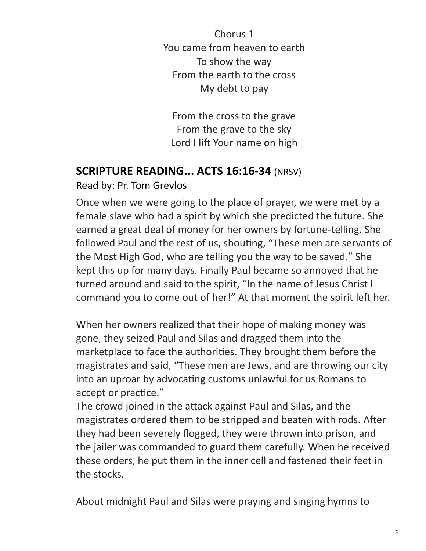Chorus 1 You came from heaven to earth To show the way From the earth to the cross My debt to pay

From the cross to the grave From the grave to the sky Lord I lift Your name on high

## **SCRIPTURE READING... ACTS 16:16-34** (NRSV)

#### Read by: Pr. Tom Grevlos

Once when we were going to the place of prayer, we were met by a female slave who had a spirit by which she predicted the future. She earned a great deal of money for her owners by fortune-telling. She followed Paul and the rest of us, shouting, "These men are servants of the Most High God, who are telling you the way to be saved." She kept this up for many days. Finally Paul became so annoyed that he turned around and said to the spirit, "In the name of Jesus Christ I command you to come out of her!" At that moment the spirit left her.

When her owners realized that their hope of making money was gone, they seized Paul and Silas and dragged them into the marketplace to face the authorities. They brought them before the magistrates and said, "These men are Jews, and are throwing our city into an uproar by advocating customs unlawful for us Romans to accept or practice."

The crowd joined in the attack against Paul and Silas, and the magistrates ordered them to be stripped and beaten with rods. After they had been severely flogged, they were thrown into prison, and the jailer was commanded to guard them carefully. When he received these orders, he put them in the inner cell and fastened their feet in the stocks.

About midnight Paul and Silas were praying and singing hymns to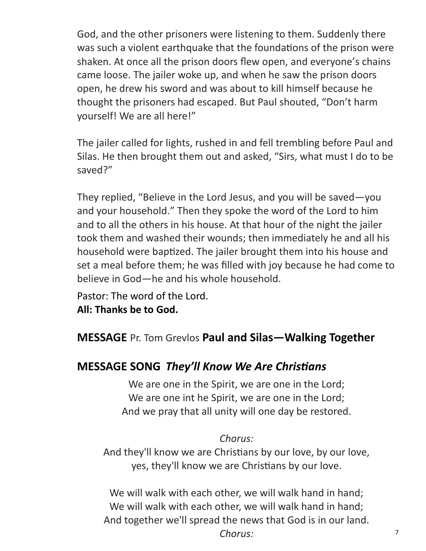God, and the other prisoners were listening to them. Suddenly there was such a violent earthquake that the foundations of the prison were shaken. At once all the prison doors flew open, and everyone's chains came loose. The jailer woke up, and when he saw the prison doors open, he drew his sword and was about to kill himself because he thought the prisoners had escaped. But Paul shouted, "Don't harm yourself! We are all here!"

The jailer called for lights, rushed in and fell trembling before Paul and Silas. He then brought them out and asked, "Sirs, what must I do to be saved?"

They replied, "Believe in the Lord Jesus, and you will be saved—you and your household." Then they spoke the word of the Lord to him and to all the others in his house. At that hour of the night the jailer took them and washed their wounds; then immediately he and all his household were baptized. The jailer brought them into his house and set a meal before them; he was filled with joy because he had come to believe in God—he and his whole household.

Pastor: The word of the Lord. **All: Thanks be to God.**

**MESSAGE** Pr. Tom Grevlos **Paul and Silas—Walking Together**

# **MESSAGE SONG** *They'll Know We Are Christians*

We are one in the Spirit, we are one in the Lord; We are one int he Spirit, we are one in the Lord; And we pray that all unity will one day be restored.

#### *Chorus:*

And they'll know we are Christians by our love, by our love, yes, they'll know we are Christians by our love.

We will walk with each other, we will walk hand in hand; We will walk with each other, we will walk hand in hand; And together we'll spread the news that God is in our land.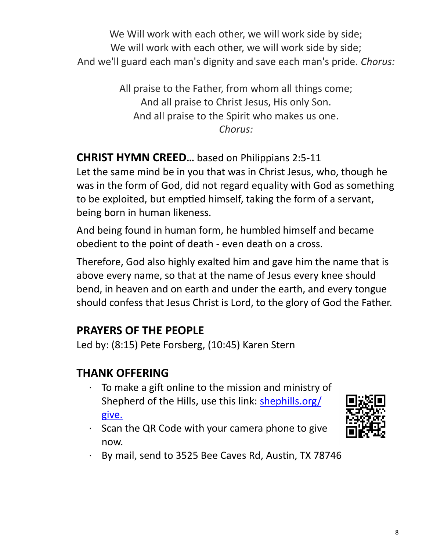We Will work with each other, we will work side by side; We will work with each other, we will work side by side; And we'll guard each man's dignity and save each man's pride. *Chorus:* 

> All praise to the Father, from whom all things come; And all praise to Christ Jesus, His only Son. And all praise to the Spirit who makes us one. *Chorus:*

# **CHRIST HYMN CREED…** based on Philippians 2:5-11

Let the same mind be in you that was in Christ Jesus, who, though he was in the form of God, did not regard equality with God as something to be exploited, but emptied himself, taking the form of a servant, being born in human likeness.

And being found in human form, he humbled himself and became obedient to the point of death - even death on a cross.

Therefore, God also highly exalted him and gave him the name that is above every name, so that at the name of Jesus every knee should bend, in heaven and on earth and under the earth, and every tongue should confess that Jesus Christ is Lord, to the glory of God the Father.

# **PRAYERS OF THE PEOPLE**

Led by: (8:15) Pete Forsberg, (10:45) Karen Stern

# **THANK OFFERING**

- To make a gift online to the mission and ministry of Shepherd of the Hills, use this link: [shephills.org/](https://shephills.org/give/) [give.](https://shephills.org/give/)
- Scan the QR Code with your camera phone to give now.



· By mail, send to 3525 Bee Caves Rd, Austin, TX 78746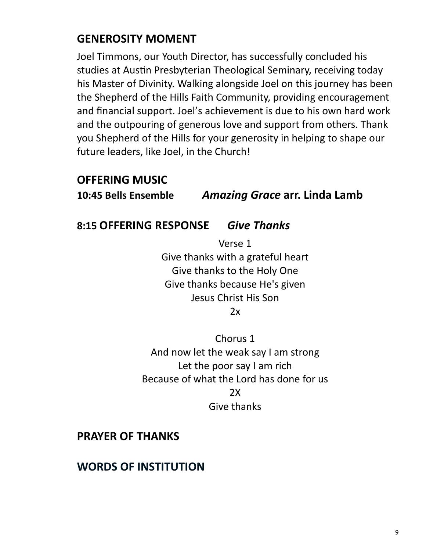# **GENEROSITY MOMENT**

Joel Timmons, our Youth Director, has successfully concluded his studies at Austin Presbyterian Theological Seminary, receiving today his Master of Divinity. Walking alongside Joel on this journey has been the Shepherd of the Hills Faith Community, providing encouragement and financial support. Joel's achievement is due to his own hard work and the outpouring of generous love and support from others. Thank you Shepherd of the Hills for your generosity in helping to shape our future leaders, like Joel, in the Church!

#### **OFFERING MUSIC**

**10:45 Bells Ensemble** *Amazing Grace* **arr. Linda Lamb** 

# **8:15 OFFERING RESPONSE** *Give Thanks*

Verse 1 Give thanks with a grateful heart Give thanks to the Holy One Give thanks because He's given Jesus Christ His Son  $2x$ 

Chorus 1 And now let the weak say I am strong Let the poor say I am rich Because of what the Lord has done for us  $2X$ Give thanks

#### **PRAYER OF THANKS**

## **WORDS OF INSTITUTION**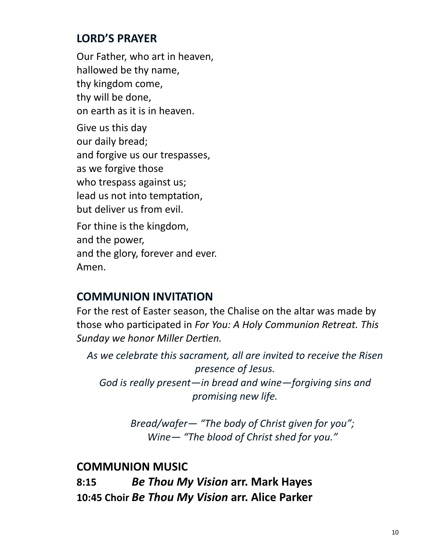# **LORD'S PRAYER**

Our Father, who art in heaven, hallowed be thy name, thy kingdom come, thy will be done, on earth as it is in heaven.

Give us this day our daily bread; and forgive us our trespasses, as we forgive those who trespass against us; lead us not into temptation, but deliver us from evil.

For thine is the kingdom, and the power, and the glory, forever and ever. Amen.

## **COMMUNION INVITATION**

For the rest of Easter season, the Chalise on the altar was made by those who participated in *For You: A Holy Communion Retreat. This Sunday we honor Miller Dertien.*

*As we celebrate this sacrament, all are invited to receive the Risen presence of Jesus. God is really present—in bread and wine—forgiving sins and promising new life.* 

> *Bread/wafer— "The body of Christ given for you"; Wine— "The blood of Christ shed for you."*

#### **COMMUNION MUSIC**

**8:15** *Be Thou My Vision* **arr. Mark Hayes 10:45 Choir** *Be Thou My Vision* **arr. Alice Parker**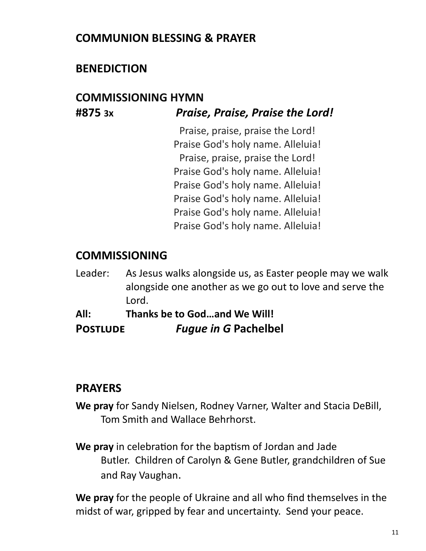# **COMMUNION BLESSING & PRAYER**

## **BENEDICTION**

# **COMMISSIONING HYMN #875 3x** *Praise, Praise, Praise the Lord!*

Praise, praise, praise the Lord! Praise God's holy name. Alleluia! Praise, praise, praise the Lord! Praise God's holy name. Alleluia! Praise God's holy name. Alleluia! Praise God's holy name. Alleluia! Praise God's holy name. Alleluia! Praise God's holy name. Alleluia!

## **COMMISSIONING**

Leader: As Jesus walks alongside us, as Easter people may we walk alongside one another as we go out to love and serve the Lord.

**All: Thanks be to God…and We Will!** 

## **Postlude** *Fugue in G* **Pachelbel**

#### **PRAYERS**

- **We pray** for Sandy Nielsen, Rodney Varner, Walter and Stacia DeBill, Tom Smith and Wallace Behrhorst.
- **We pray** in celebration for the baptism of Jordan and Jade Butler. Children of Carolyn & Gene Butler, grandchildren of Sue and Ray Vaughan.

**We pray** for the people of Ukraine and all who find themselves in the midst of war, gripped by fear and uncertainty. Send your peace.